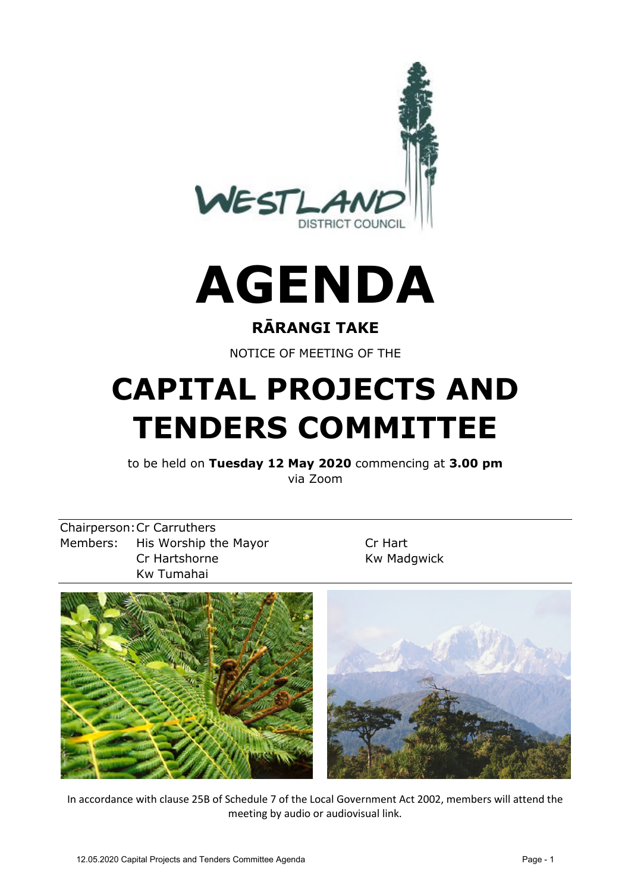

## **AGENDA**

#### **RĀRANGI TAKE**

NOTICE OF MEETING OF THE

## **CAPITAL PROJECTS AND TENDERS COMMITTEE**

to be held on **Tuesday 12 May 2020** commencing at **3.00 pm** via Zoom

Chairperson:Cr Carruthers Members: His Worship the Mayor Cr Hart Cr Hartshorne Kw Madgwick Kw Tumahai



In accordance with clause 25B of Schedule 7 of the Local Government Act 2002, members will attend the meeting by audio or audiovisual link.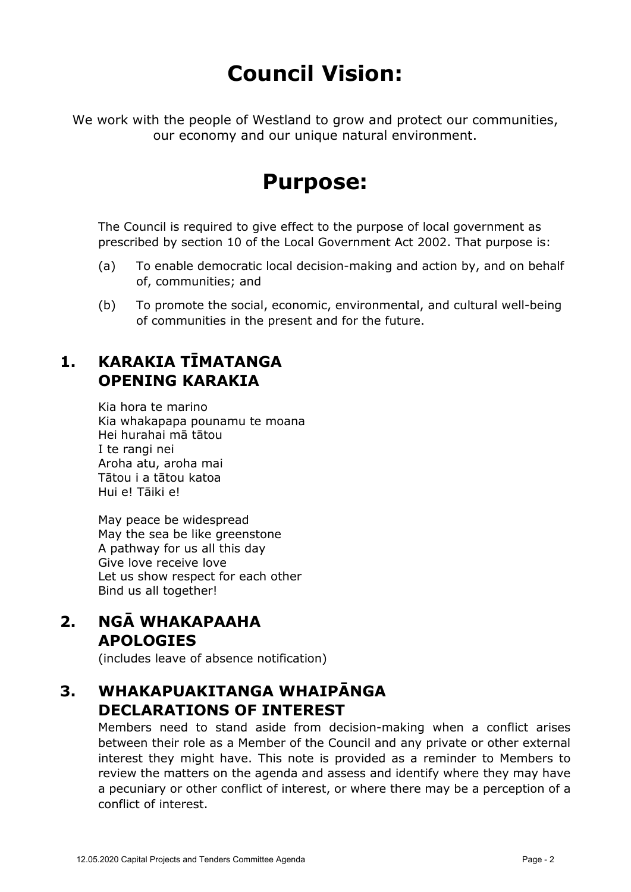### **Council Vision:**

We work with the people of Westland to grow and protect our communities, our economy and our unique natural environment.

### **Purpose:**

The Council is required to give effect to the purpose of local government as prescribed by section 10 of the Local Government Act 2002. That purpose is:

- (a) To enable democratic local decision-making and action by, and on behalf of, communities; and
- (b) To promote the social, economic, environmental, and cultural well-being of communities in the present and for the future.

#### **1. KARAKIA TĪMATANGA OPENING KARAKIA**

Kia hora te marino Kia whakapapa pounamu te moana Hei hurahai mā tātou I te rangi nei Aroha atu, aroha mai Tātou i a tātou katoa Hui e! Tāiki e!

May peace be widespread May the sea be like greenstone A pathway for us all this day Give love receive love Let us show respect for each other Bind us all together!

**2. NGĀ WHAKAPAAHA APOLOGIES**

(includes leave of absence notification)

#### **3. WHAKAPUAKITANGA WHAIPĀNGA DECLARATIONS OF INTEREST**

Members need to stand aside from decision-making when a conflict arises between their role as a Member of the Council and any private or other external interest they might have. This note is provided as a reminder to Members to review the matters on the agenda and assess and identify where they may have a pecuniary or other conflict of interest, or where there may be a perception of a conflict of interest.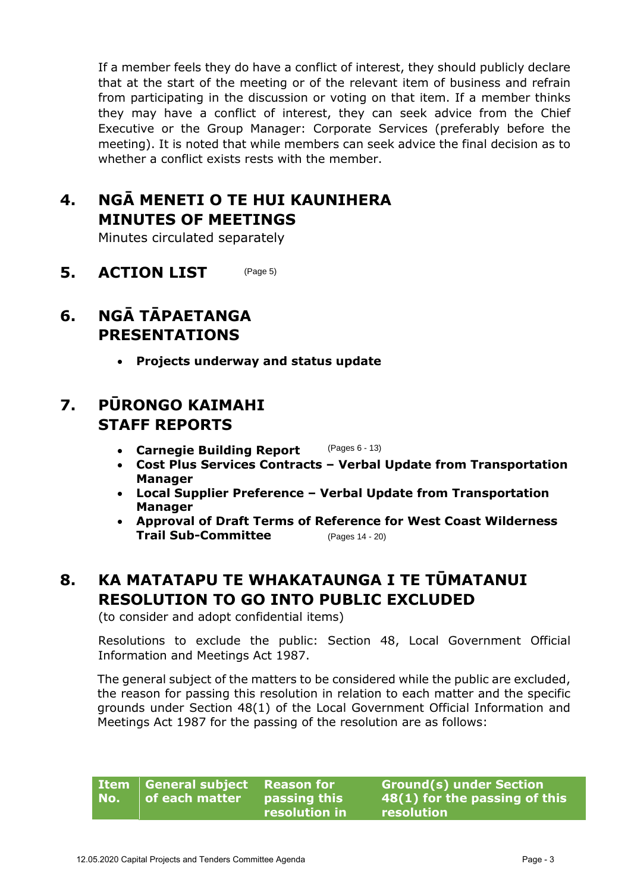If a member feels they do have a conflict of interest, they should publicly declare that at the start of the meeting or of the relevant item of business and refrain from participating in the discussion or voting on that item. If a member thinks they may have a conflict of interest, they can seek advice from the Chief Executive or the Group Manager: Corporate Services (preferably before the meeting). It is noted that while members can seek advice the final decision as to whether a conflict exists rests with the member.

#### **4. NGĀ MENETI O TE HUI KAUNIHERA MINUTES OF MEETINGS**

Minutes circulated separately

**5. ACTION LIST** (Page 5)

#### **6. NGĀ TĀPAETANGA PRESENTATIONS**

• **Projects underway and status update**

#### **7. PŪRONGO KAIMAHI STAFF REPORTS**

- **Carnegie Building Report** (Pages 6 - 13)
- **Cost Plus Services Contracts Verbal Update from Transportation Manager**
- **Local Supplier Preference Verbal Update from Transportation Manager**
- **Approval of Draft Terms of Reference for West Coast Wilderness Trail Sub-Committee** (Pages 14 - 20)

#### **8. KA MATATAPU TE WHAKATAUNGA I TE TŪMATANUI RESOLUTION TO GO INTO PUBLIC EXCLUDED**

(to consider and adopt confidential items)

Resolutions to exclude the public: Section 48, Local Government Official Information and Meetings Act 1987.

The general subject of the matters to be considered while the public are excluded, the reason for passing this resolution in relation to each matter and the specific grounds under Section 48(1) of the Local Government Official Information and Meetings Act 1987 for the passing of the resolution are as follows:

| No. | Item General subject Reason for<br>of each matter | <b>passing this</b> | Ground(s) under Section<br>48(1) for the passing of this |
|-----|---------------------------------------------------|---------------------|----------------------------------------------------------|
|     |                                                   | resolution in       | resolution                                               |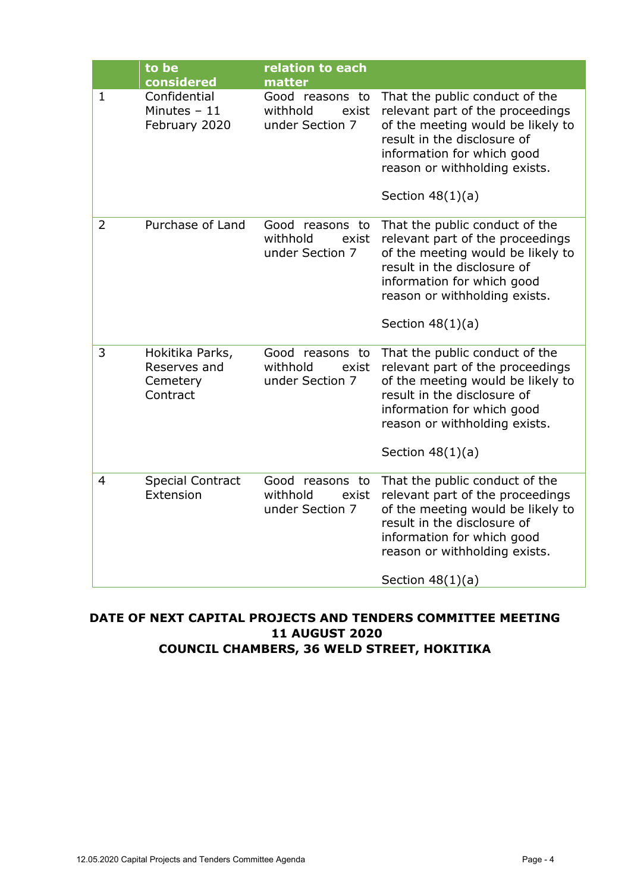|   | to be<br>considered                                     | relation to each<br>matter                              |                                                                                                                                                                                                                             |
|---|---------------------------------------------------------|---------------------------------------------------------|-----------------------------------------------------------------------------------------------------------------------------------------------------------------------------------------------------------------------------|
| 1 | Confidential<br>Minutes $-11$<br>February 2020          | Good reasons to<br>withhold<br>exist<br>under Section 7 | That the public conduct of the<br>relevant part of the proceedings<br>of the meeting would be likely to<br>result in the disclosure of<br>information for which good<br>reason or withholding exists.<br>Section $48(1)(a)$ |
| 2 | Purchase of Land                                        | Good reasons to<br>withhold<br>exist<br>under Section 7 | That the public conduct of the<br>relevant part of the proceedings<br>of the meeting would be likely to<br>result in the disclosure of<br>information for which good<br>reason or withholding exists.<br>Section $48(1)(a)$ |
| 3 | Hokitika Parks,<br>Reserves and<br>Cemetery<br>Contract | Good reasons to<br>withhold<br>exist<br>under Section 7 | That the public conduct of the<br>relevant part of the proceedings<br>of the meeting would be likely to<br>result in the disclosure of<br>information for which good<br>reason or withholding exists.<br>Section $48(1)(a)$ |
| 4 | <b>Special Contract</b><br>Extension                    | Good reasons to<br>withhold<br>exist<br>under Section 7 | That the public conduct of the<br>relevant part of the proceedings<br>of the meeting would be likely to<br>result in the disclosure of<br>information for which good<br>reason or withholding exists.<br>Section $48(1)(a)$ |

#### **DATE OF NEXT CAPITAL PROJECTS AND TENDERS COMMITTEE MEETING 11 AUGUST 2020 COUNCIL CHAMBERS, 36 WELD STREET, HOKITIKA**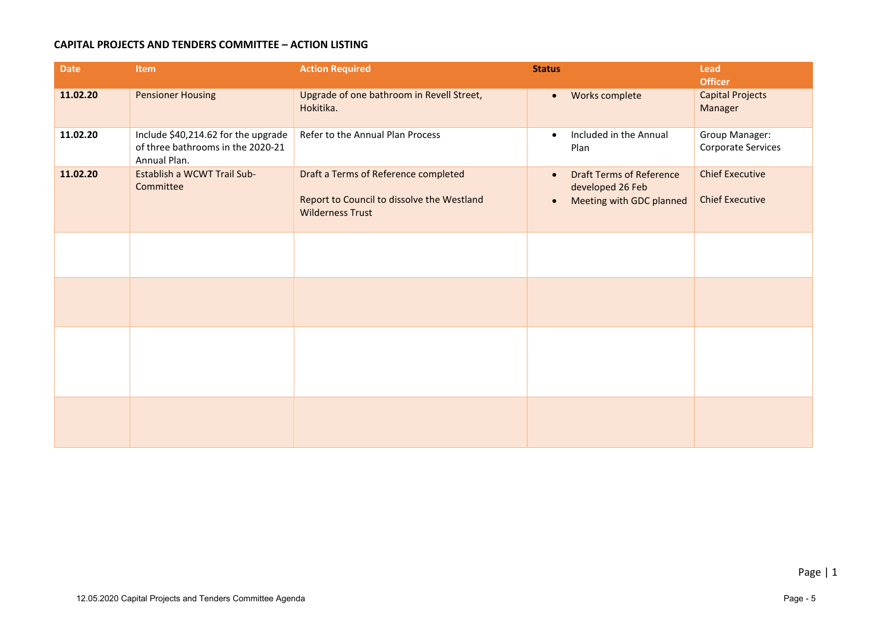#### **CAPITAL PROJECTS AND TENDERS COMMITTEE – ACTION LISTING**

| <b>Date</b> | <b>Item</b>                                                                              | <b>Action Required</b>                                                                                        | <b>Status</b>                                                                                             | <b>Lead</b>                                      |
|-------------|------------------------------------------------------------------------------------------|---------------------------------------------------------------------------------------------------------------|-----------------------------------------------------------------------------------------------------------|--------------------------------------------------|
|             |                                                                                          |                                                                                                               |                                                                                                           | <b>Officer</b>                                   |
| 11.02.20    | <b>Pensioner Housing</b>                                                                 | Upgrade of one bathroom in Revell Street,<br>Hokitika.                                                        | Works complete<br>$\bullet$                                                                               | <b>Capital Projects</b><br>Manager               |
| 11.02.20    | Include \$40,214.62 for the upgrade<br>of three bathrooms in the 2020-21<br>Annual Plan. | Refer to the Annual Plan Process                                                                              | Included in the Annual<br>$\bullet$<br>Plan                                                               | Group Manager:<br>Corporate Services             |
| 11.02.20    | Establish a WCWT Trail Sub-<br>Committee                                                 | Draft a Terms of Reference completed<br>Report to Council to dissolve the Westland<br><b>Wilderness Trust</b> | <b>Draft Terms of Reference</b><br>$\bullet$<br>developed 26 Feb<br>Meeting with GDC planned<br>$\bullet$ | <b>Chief Executive</b><br><b>Chief Executive</b> |
|             |                                                                                          |                                                                                                               |                                                                                                           |                                                  |
|             |                                                                                          |                                                                                                               |                                                                                                           |                                                  |
|             |                                                                                          |                                                                                                               |                                                                                                           |                                                  |
|             |                                                                                          |                                                                                                               |                                                                                                           |                                                  |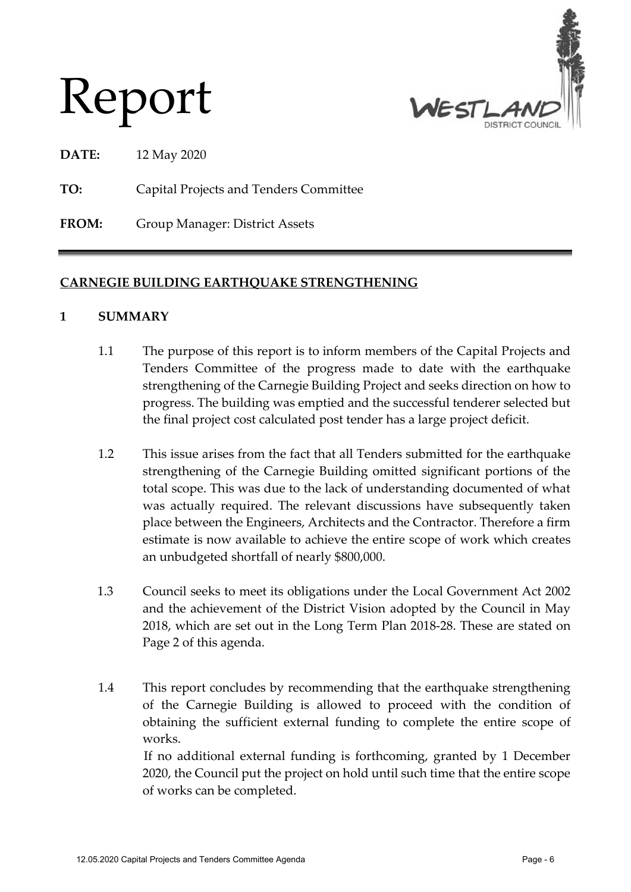

Report

**DATE:** 12 May 2020

**TO:** Capital Projects and Tenders Committee

**FROM:** Group Manager: District Assets

#### **CARNEGIE BUILDING EARTHQUAKE STRENGTHENING**

#### **1 SUMMARY**

- 1.1 The purpose of this report is to inform members of the Capital Projects and Tenders Committee of the progress made to date with the earthquake strengthening of the Carnegie Building Project and seeks direction on how to progress. The building was emptied and the successful tenderer selected but the final project cost calculated post tender has a large project deficit.
- 1.2 This issue arises from the fact that all Tenders submitted for the earthquake strengthening of the Carnegie Building omitted significant portions of the total scope. This was due to the lack of understanding documented of what was actually required. The relevant discussions have subsequently taken place between the Engineers, Architects and the Contractor. Therefore a firm estimate is now available to achieve the entire scope of work which creates an unbudgeted shortfall of nearly \$800,000.
- 1.3 Council seeks to meet its obligations under the Local Government Act 2002 and the achievement of the District Vision adopted by the Council in May 2018, which are set out in the Long Term Plan 2018-28. These are stated on Page 2 of this agenda.
- 1.4 This report concludes by recommending that the earthquake strengthening of the Carnegie Building is allowed to proceed with the condition of obtaining the sufficient external funding to complete the entire scope of works.

If no additional external funding is forthcoming, granted by 1 December 2020, the Council put the project on hold until such time that the entire scope of works can be completed.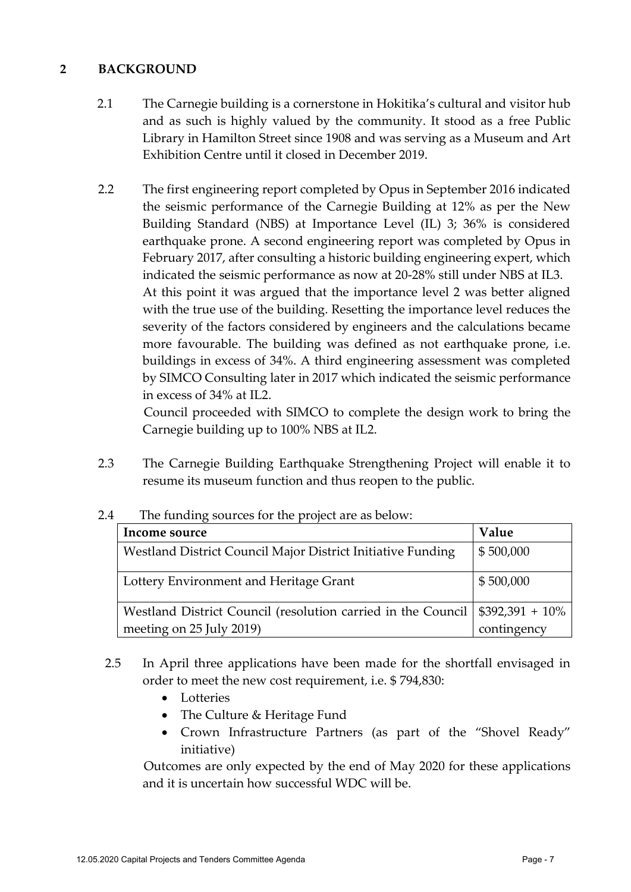#### **2 BACKGROUND**

- 2.1 The Carnegie building is a cornerstone in Hokitika's cultural and visitor hub and as such is highly valued by the community. It stood as a free Public Library in Hamilton Street since 1908 and was serving as a Museum and Art Exhibition Centre until it closed in December 2019.
- 2.2 The first engineering report completed by Opus in September 2016 indicated the seismic performance of the Carnegie Building at 12% as per the New Building Standard (NBS) at Importance Level (IL) 3; 36% is considered earthquake prone. A second engineering report was completed by Opus in February 2017, after consulting a historic building engineering expert, which indicated the seismic performance as now at 20-28% still under NBS at IL3. At this point it was argued that the importance level 2 was better aligned with the true use of the building. Resetting the importance level reduces the severity of the factors considered by engineers and the calculations became more favourable. The building was defined as not earthquake prone, i.e. buildings in excess of 34%. A third engineering assessment was completed by SIMCO Consulting later in 2017 which indicated the seismic performance in excess of 34% at IL2.

Council proceeded with SIMCO to complete the design work to bring the Carnegie building up to 100% NBS at IL2.

2.3 The Carnegie Building Earthquake Strengthening Project will enable it to resume its museum function and thus reopen to the public.

| Income source                                                                           | Value       |
|-----------------------------------------------------------------------------------------|-------------|
| Westland District Council Major District Initiative Funding                             | \$500,000   |
| Lottery Environment and Heritage Grant                                                  | \$500,000   |
| Westland District Council (resolution carried in the Council $\frac{1}{392,391} + 10\%$ |             |
| meeting on 25 July 2019)                                                                | contingency |

#### 2.4 The funding sources for the project are as below:

- 2.5 In April three applications have been made for the shortfall envisaged in order to meet the new cost requirement, i.e. \$ 794,830:
	- Lotteries
	- The Culture & Heritage Fund
	- Crown Infrastructure Partners (as part of the "Shovel Ready" initiative)

Outcomes are only expected by the end of May 2020 for these applications and it is uncertain how successful WDC will be.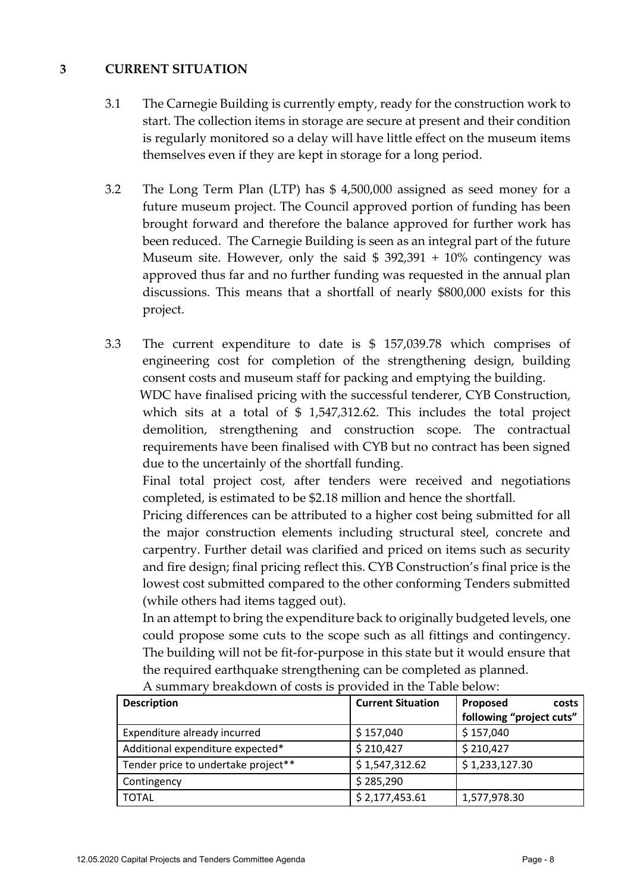#### **3 CURRENT SITUATION**

- 3.1 The Carnegie Building is currently empty, ready for the construction work to start. The collection items in storage are secure at present and their condition is regularly monitored so a delay will have little effect on the museum items themselves even if they are kept in storage for a long period.
- 3.2 The Long Term Plan (LTP) has \$ 4,500,000 assigned as seed money for a future museum project. The Council approved portion of funding has been brought forward and therefore the balance approved for further work has been reduced. The Carnegie Building is seen as an integral part of the future Museum site. However, only the said  $$392,391 + 10\%$  contingency was approved thus far and no further funding was requested in the annual plan discussions. This means that a shortfall of nearly \$800,000 exists for this project.
- 3.3 The current expenditure to date is \$ 157,039.78 which comprises of engineering cost for completion of the strengthening design, building consent costs and museum staff for packing and emptying the building. WDC have finalised pricing with the successful tenderer, CYB Construction, which sits at a total of \$ 1,547,312.62. This includes the total project demolition, strengthening and construction scope. The contractual requirements have been finalised with CYB but no contract has been signed due to the uncertainly of the shortfall funding.

Final total project cost, after tenders were received and negotiations completed, is estimated to be \$2.18 million and hence the shortfall.

Pricing differences can be attributed to a higher cost being submitted for all the major construction elements including structural steel, concrete and carpentry. Further detail was clarified and priced on items such as security and fire design; final pricing reflect this. CYB Construction's final price is the lowest cost submitted compared to the other conforming Tenders submitted (while others had items tagged out).

In an attempt to bring the expenditure back to originally budgeted levels, one could propose some cuts to the scope such as all fittings and contingency. The building will not be fit-for-purpose in this state but it would ensure that the required earthquake strengthening can be completed as planned.

| <b>Description</b>                  | <b>Current Situation</b> | Proposed<br>costs        |
|-------------------------------------|--------------------------|--------------------------|
|                                     |                          | following "project cuts" |
| Expenditure already incurred        | \$157,040                | \$157,040                |
| Additional expenditure expected*    | \$210,427                | \$210,427                |
| Tender price to undertake project** | \$1,547,312.62           | \$1,233,127.30           |
| Contingency                         | \$285,290                |                          |
| <b>TOTAL</b>                        | \$2,177,453.61           | 1,577,978.30             |

A summary breakdown of costs is provided in the Table below: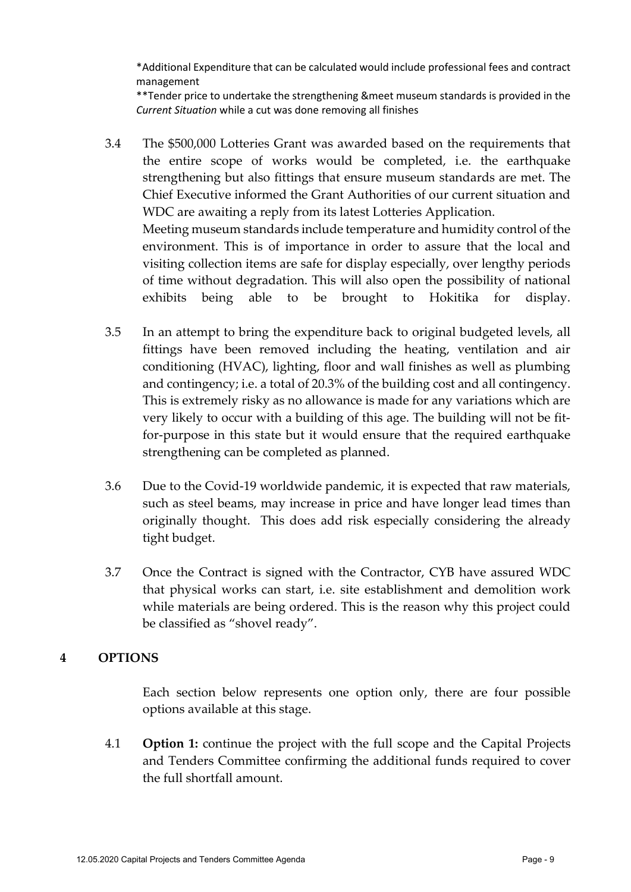\*Additional Expenditure that can be calculated would include professional fees and contract management

\*\*Tender price to undertake the strengthening &meet museum standards is provided in the *Current Situation* while a cut was done removing all finishes

- 3.4 The \$500,000 Lotteries Grant was awarded based on the requirements that the entire scope of works would be completed, i.e. the earthquake strengthening but also fittings that ensure museum standards are met. The Chief Executive informed the Grant Authorities of our current situation and WDC are awaiting a reply from its latest Lotteries Application. Meeting museum standards include temperature and humidity control of the environment. This is of importance in order to assure that the local and visiting collection items are safe for display especially, over lengthy periods of time without degradation. This will also open the possibility of national exhibits being able to be brought to Hokitika for display.
- 3.5 In an attempt to bring the expenditure back to original budgeted levels, all fittings have been removed including the heating, ventilation and air conditioning (HVAC), lighting, floor and wall finishes as well as plumbing and contingency; i.e. a total of 20.3% of the building cost and all contingency. This is extremely risky as no allowance is made for any variations which are very likely to occur with a building of this age. The building will not be fitfor-purpose in this state but it would ensure that the required earthquake strengthening can be completed as planned.
- 3.6 Due to the Covid-19 worldwide pandemic, it is expected that raw materials, such as steel beams, may increase in price and have longer lead times than originally thought. This does add risk especially considering the already tight budget.
- 3.7 Once the Contract is signed with the Contractor, CYB have assured WDC that physical works can start, i.e. site establishment and demolition work while materials are being ordered. This is the reason why this project could be classified as "shovel ready".

#### **4 OPTIONS**

Each section below represents one option only, there are four possible options available at this stage.

4.1 **Option 1:** continue the project with the full scope and the Capital Projects and Tenders Committee confirming the additional funds required to cover the full shortfall amount.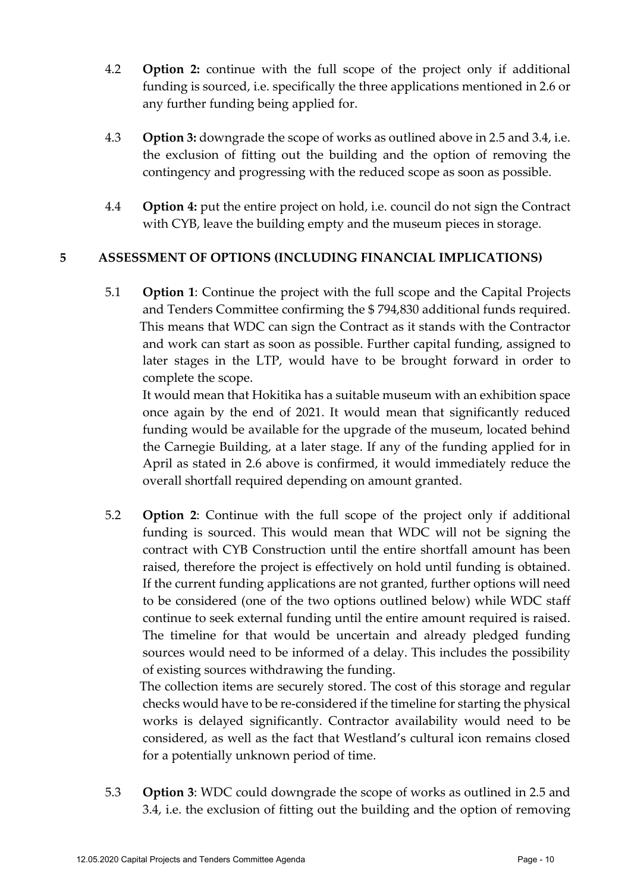- 4.2 **Option 2:** continue with the full scope of the project only if additional funding is sourced, i.e. specifically the three applications mentioned in 2.6 or any further funding being applied for.
- 4.3 **Option 3:** downgrade the scope of works as outlined above in 2.5 and 3.4, i.e. the exclusion of fitting out the building and the option of removing the contingency and progressing with the reduced scope as soon as possible.
- 4.4 **Option 4:** put the entire project on hold, i.e. council do not sign the Contract with CYB, leave the building empty and the museum pieces in storage.

#### **5 ASSESSMENT OF OPTIONS (INCLUDING FINANCIAL IMPLICATIONS)**

5.1 **Option 1**: Continue the project with the full scope and the Capital Projects and Tenders Committee confirming the \$ 794,830 additional funds required. This means that WDC can sign the Contract as it stands with the Contractor and work can start as soon as possible. Further capital funding, assigned to later stages in the LTP, would have to be brought forward in order to complete the scope.

It would mean that Hokitika has a suitable museum with an exhibition space once again by the end of 2021. It would mean that significantly reduced funding would be available for the upgrade of the museum, located behind the Carnegie Building, at a later stage. If any of the funding applied for in April as stated in 2.6 above is confirmed, it would immediately reduce the overall shortfall required depending on amount granted.

5.2 **Option 2**: Continue with the full scope of the project only if additional funding is sourced. This would mean that WDC will not be signing the contract with CYB Construction until the entire shortfall amount has been raised, therefore the project is effectively on hold until funding is obtained. If the current funding applications are not granted, further options will need to be considered (one of the two options outlined below) while WDC staff continue to seek external funding until the entire amount required is raised. The timeline for that would be uncertain and already pledged funding sources would need to be informed of a delay. This includes the possibility of existing sources withdrawing the funding.

The collection items are securely stored. The cost of this storage and regular checks would have to be re-considered if the timeline for starting the physical works is delayed significantly. Contractor availability would need to be considered, as well as the fact that Westland's cultural icon remains closed for a potentially unknown period of time.

5.3 **Option 3**: WDC could downgrade the scope of works as outlined in 2.5 and 3.4, i.e. the exclusion of fitting out the building and the option of removing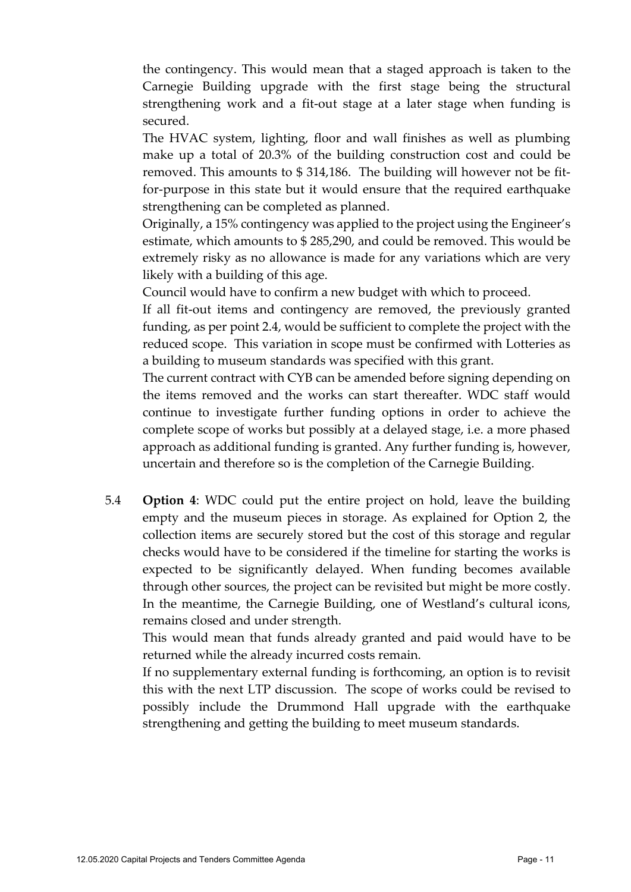the contingency. This would mean that a staged approach is taken to the Carnegie Building upgrade with the first stage being the structural strengthening work and a fit-out stage at a later stage when funding is secured.

The HVAC system, lighting, floor and wall finishes as well as plumbing make up a total of 20.3% of the building construction cost and could be removed. This amounts to \$ 314,186. The building will however not be fitfor-purpose in this state but it would ensure that the required earthquake strengthening can be completed as planned.

Originally, a 15% contingency was applied to the project using the Engineer's estimate, which amounts to \$ 285,290, and could be removed. This would be extremely risky as no allowance is made for any variations which are very likely with a building of this age.

Council would have to confirm a new budget with which to proceed.

If all fit-out items and contingency are removed, the previously granted funding, as per point 2.4, would be sufficient to complete the project with the reduced scope. This variation in scope must be confirmed with Lotteries as a building to museum standards was specified with this grant.

The current contract with CYB can be amended before signing depending on the items removed and the works can start thereafter. WDC staff would continue to investigate further funding options in order to achieve the complete scope of works but possibly at a delayed stage, i.e. a more phased approach as additional funding is granted. Any further funding is, however, uncertain and therefore so is the completion of the Carnegie Building.

5.4 **Option 4**: WDC could put the entire project on hold, leave the building empty and the museum pieces in storage. As explained for Option 2, the collection items are securely stored but the cost of this storage and regular checks would have to be considered if the timeline for starting the works is expected to be significantly delayed. When funding becomes available through other sources, the project can be revisited but might be more costly. In the meantime, the Carnegie Building, one of Westland's cultural icons, remains closed and under strength.

This would mean that funds already granted and paid would have to be returned while the already incurred costs remain.

If no supplementary external funding is forthcoming, an option is to revisit this with the next LTP discussion. The scope of works could be revised to possibly include the Drummond Hall upgrade with the earthquake strengthening and getting the building to meet museum standards.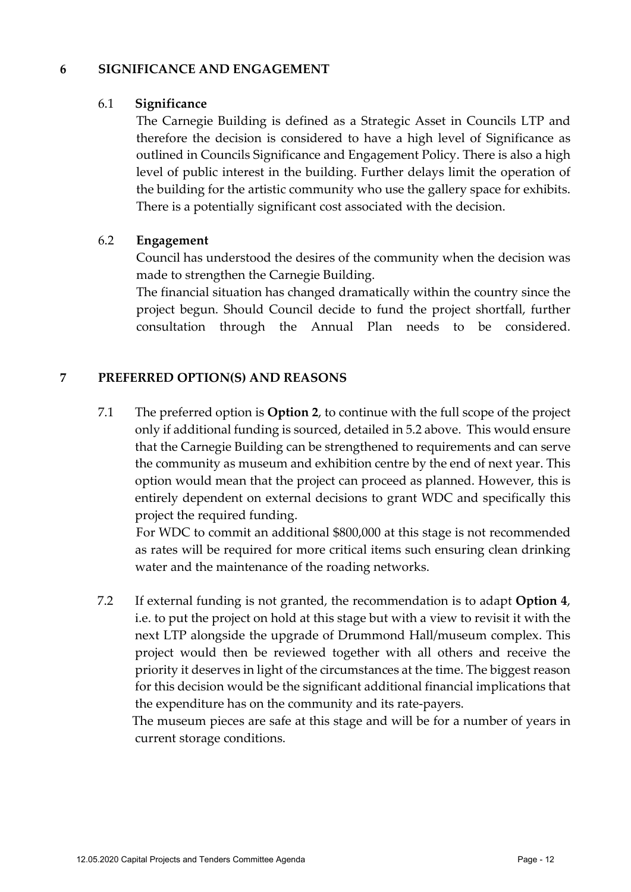#### **6 SIGNIFICANCE AND ENGAGEMENT**

#### 6.1 **Significance**

The Carnegie Building is defined as a Strategic Asset in Councils LTP and therefore the decision is considered to have a high level of Significance as outlined in Councils Significance and Engagement Policy. There is also a high level of public interest in the building. Further delays limit the operation of the building for the artistic community who use the gallery space for exhibits. There is a potentially significant cost associated with the decision.

#### 6.2 **Engagement**

Council has understood the desires of the community when the decision was made to strengthen the Carnegie Building.

The financial situation has changed dramatically within the country since the project begun. Should Council decide to fund the project shortfall, further consultation through the Annual Plan needs to be considered.

#### **7 PREFERRED OPTION(S) AND REASONS**

7.1 The preferred option is **Option 2**, to continue with the full scope of the project only if additional funding is sourced, detailed in 5.2 above. This would ensure that the Carnegie Building can be strengthened to requirements and can serve the community as museum and exhibition centre by the end of next year. This option would mean that the project can proceed as planned. However, this is entirely dependent on external decisions to grant WDC and specifically this project the required funding.

For WDC to commit an additional \$800,000 at this stage is not recommended as rates will be required for more critical items such ensuring clean drinking water and the maintenance of the roading networks.

7.2 If external funding is not granted, the recommendation is to adapt **Option 4**, i.e. to put the project on hold at this stage but with a view to revisit it with the next LTP alongside the upgrade of Drummond Hall/museum complex. This project would then be reviewed together with all others and receive the priority it deserves in light of the circumstances at the time. The biggest reason for this decision would be the significant additional financial implications that the expenditure has on the community and its rate-payers.

The museum pieces are safe at this stage and will be for a number of years in current storage conditions.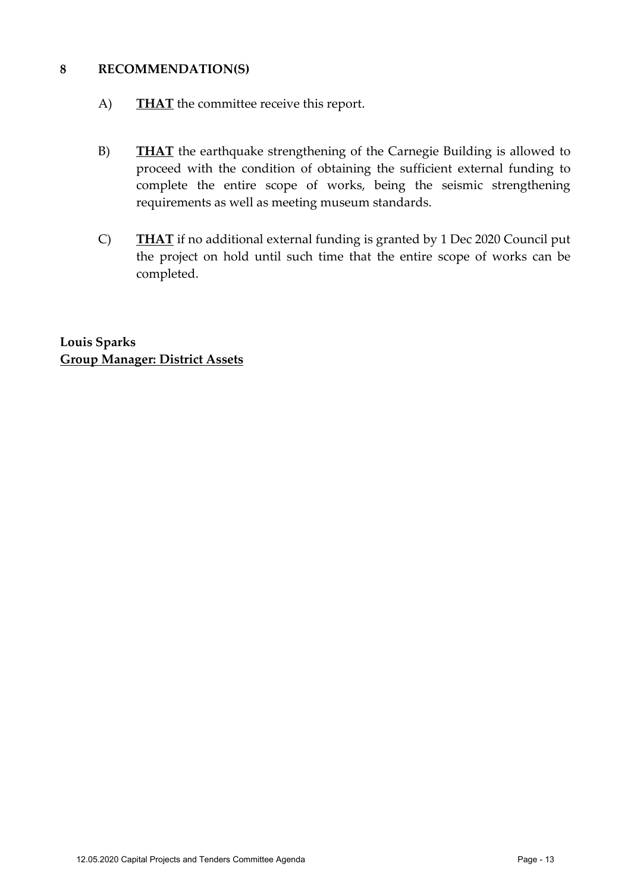#### **8 RECOMMENDATION(S)**

- A) **THAT** the committee receive this report.
- B) **THAT** the earthquake strengthening of the Carnegie Building is allowed to proceed with the condition of obtaining the sufficient external funding to complete the entire scope of works, being the seismic strengthening requirements as well as meeting museum standards.
- C) **THAT** if no additional external funding is granted by 1 Dec 2020 Council put the project on hold until such time that the entire scope of works can be completed.

**Louis Sparks Group Manager: District Assets**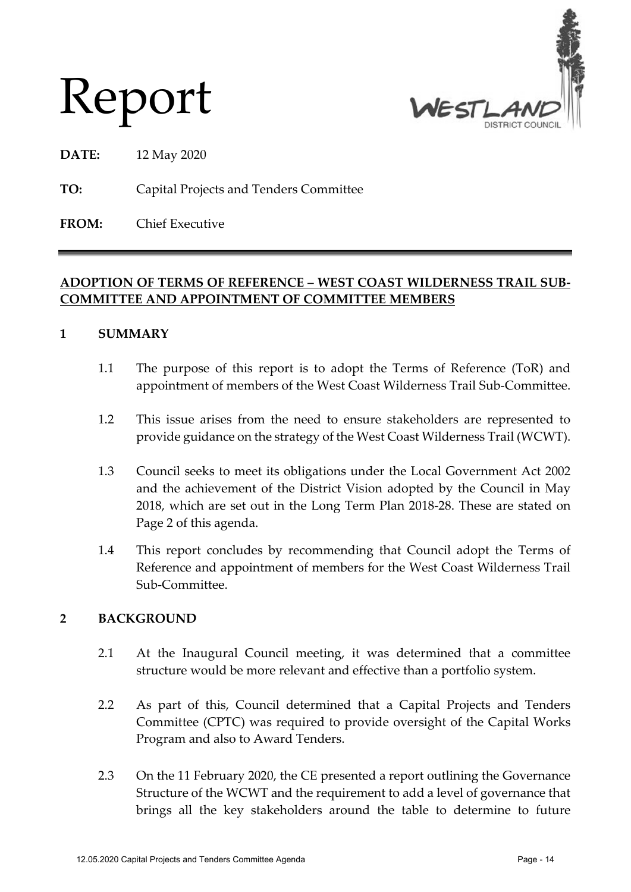

# Report

**DATE:** 12 May 2020

**TO:** Capital Projects and Tenders Committee

**FROM:** Chief Executive

#### **ADOPTION OF TERMS OF REFERENCE – WEST COAST WILDERNESS TRAIL SUB-COMMITTEE AND APPOINTMENT OF COMMITTEE MEMBERS**

#### **1 SUMMARY**

- 1.1 The purpose of this report is to adopt the Terms of Reference (ToR) and appointment of members of the West Coast Wilderness Trail Sub-Committee.
- 1.2 This issue arises from the need to ensure stakeholders are represented to provide guidance on the strategy of the West Coast Wilderness Trail (WCWT).
- 1.3 Council seeks to meet its obligations under the Local Government Act 2002 and the achievement of the District Vision adopted by the Council in May 2018, which are set out in the Long Term Plan 2018-28. These are stated on Page 2 of this agenda.
- 1.4 This report concludes by recommending that Council adopt the Terms of Reference and appointment of members for the West Coast Wilderness Trail Sub-Committee.

#### **2 BACKGROUND**

- 2.1 At the Inaugural Council meeting, it was determined that a committee structure would be more relevant and effective than a portfolio system.
- 2.2 As part of this, Council determined that a Capital Projects and Tenders Committee (CPTC) was required to provide oversight of the Capital Works Program and also to Award Tenders.
- 2.3 On the 11 February 2020, the CE presented a report outlining the Governance Structure of the WCWT and the requirement to add a level of governance that brings all the key stakeholders around the table to determine to future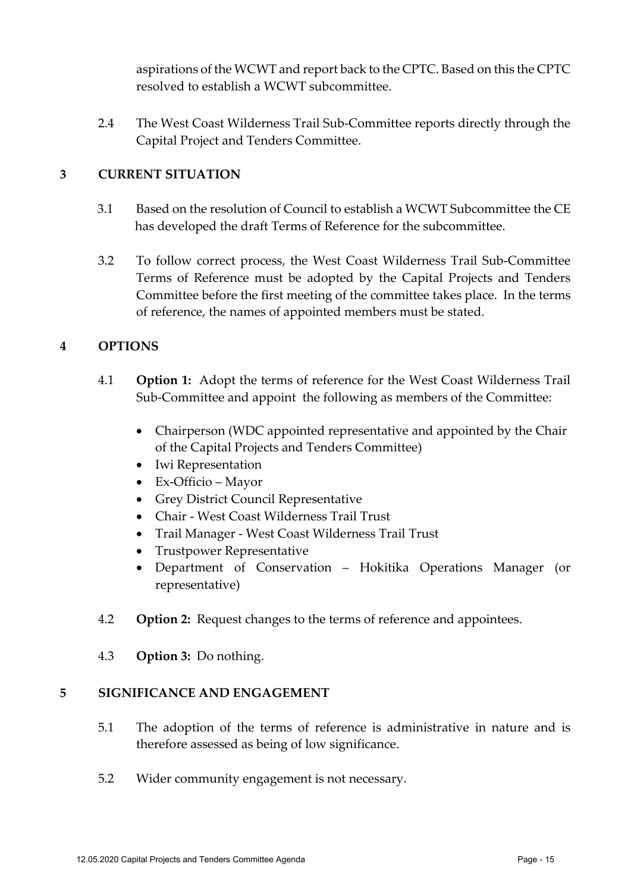aspirations of the WCWT and report back to the CPTC. Based on this the CPTC resolved to establish a WCWT subcommittee.

2.4 The West Coast Wilderness Trail Sub-Committee reports directly through the Capital Project and Tenders Committee.

#### **3 CURRENT SITUATION**

- 3.1 Based on the resolution of Council to establish a WCWT Subcommittee the CE has developed the draft Terms of Reference for the subcommittee.
- 3.2 To follow correct process, the West Coast Wilderness Trail Sub-Committee Terms of Reference must be adopted by the Capital Projects and Tenders Committee before the first meeting of the committee takes place. In the terms of reference, the names of appointed members must be stated.

#### **4 OPTIONS**

- 4.1 **Option 1:** Adopt the terms of reference for the West Coast Wilderness Trail Sub-Committee and appoint the following as members of the Committee:
	- Chairperson (WDC appointed representative and appointed by the Chair of the Capital Projects and Tenders Committee)
	- Iwi Representation
	- Ex-Officio Mayor
	- Grey District Council Representative
	- Chair West Coast Wilderness Trail Trust
	- Trail Manager West Coast Wilderness Trail Trust
	- Trustpower Representative
	- Department of Conservation Hokitika Operations Manager (or representative)
- 4.2 **Option 2:** Request changes to the terms of reference and appointees.
- 4.3 **Option 3:** Do nothing.

#### **5 SIGNIFICANCE AND ENGAGEMENT**

- 5.1 The adoption of the terms of reference is administrative in nature and is therefore assessed as being of low significance.
- 5.2 Wider community engagement is not necessary.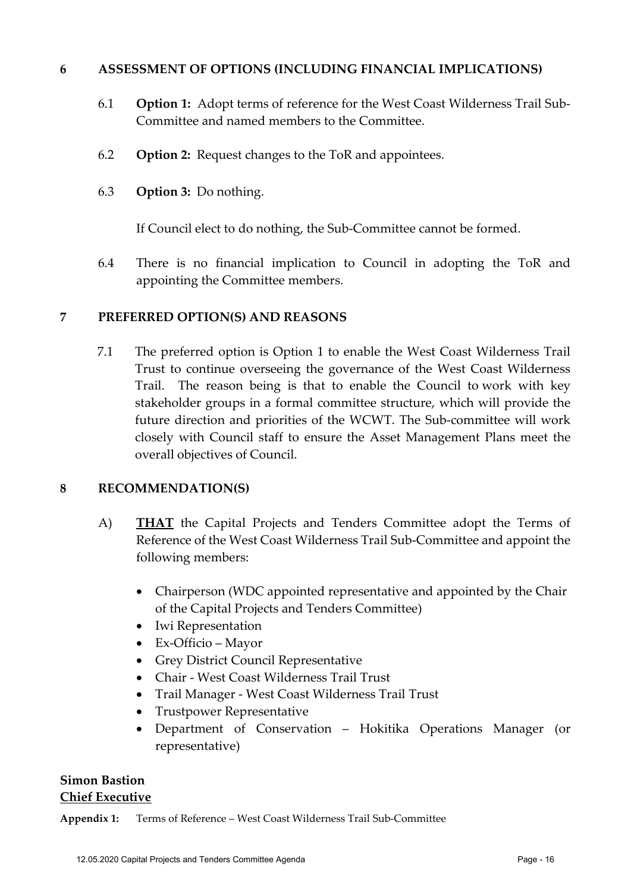#### **6 ASSESSMENT OF OPTIONS (INCLUDING FINANCIAL IMPLICATIONS)**

- 6.1 **Option 1:** Adopt terms of reference for the West Coast Wilderness Trail Sub-Committee and named members to the Committee.
- 6.2 **Option 2:** Request changes to the ToR and appointees.
- 6.3 **Option 3:** Do nothing.

If Council elect to do nothing, the Sub-Committee cannot be formed.

6.4 There is no financial implication to Council in adopting the ToR and appointing the Committee members.

#### **7 PREFERRED OPTION(S) AND REASONS**

7.1 The preferred option is Option 1 to enable the West Coast Wilderness Trail Trust to continue overseeing the governance of the West Coast Wilderness Trail. The reason being is that to enable the Council to work with key stakeholder groups in a formal committee structure, which will provide the future direction and priorities of the WCWT. The Sub-committee will work closely with Council staff to ensure the Asset Management Plans meet the overall objectives of Council.

#### **8 RECOMMENDATION(S)**

- A) **THAT** the Capital Projects and Tenders Committee adopt the Terms of Reference of the West Coast Wilderness Trail Sub-Committee and appoint the following members:
	- Chairperson (WDC appointed representative and appointed by the Chair of the Capital Projects and Tenders Committee)
	- Iwi Representation
	- Ex-Officio Mayor
	- Grey District Council Representative
	- Chair West Coast Wilderness Trail Trust
	- Trail Manager West Coast Wilderness Trail Trust
	- Trustpower Representative
	- Department of Conservation Hokitika Operations Manager (or representative)

#### **Simon Bastion Chief Executive**

**Appendix 1:** Terms of Reference – West Coast Wilderness Trail Sub-Committee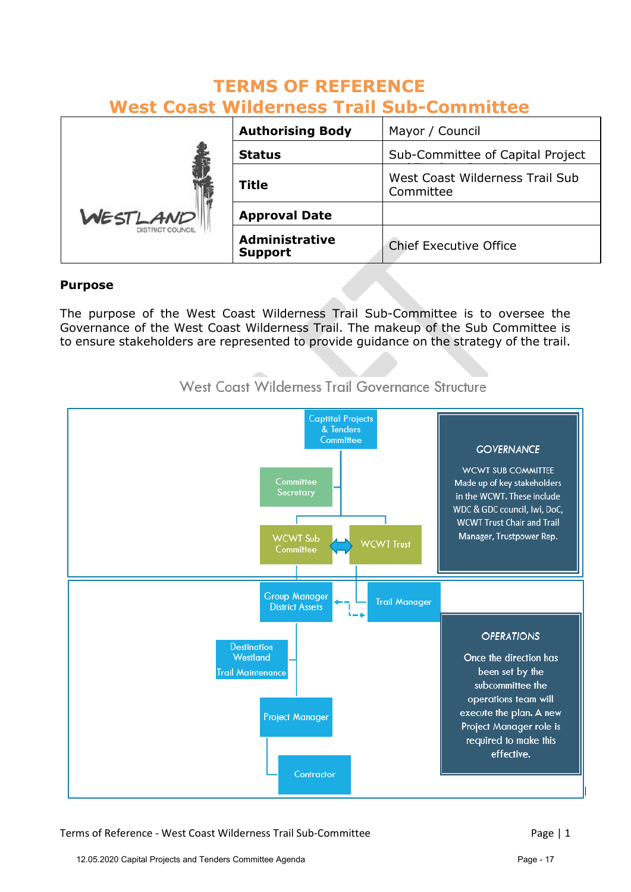| <b>West Coast Wilderness Trail Sub-Committee</b> |                                         |                                              |
|--------------------------------------------------|-----------------------------------------|----------------------------------------------|
|                                                  | <b>Authorising Body</b>                 | Mayor / Council                              |
| WESTLAND<br><b>DISTRICT COUNCIL</b>              | <b>Status</b>                           | Sub-Committee of Capital Project             |
|                                                  | <b>Title</b>                            | West Coast Wilderness Trail Sub<br>Committee |
|                                                  | <b>Approval Date</b>                    |                                              |
|                                                  | <b>Administrative</b><br><b>Support</b> | <b>Chief Executive Office</b>                |

#### **TERMS OF REFERENCE West Coast Wilderness Trail Sub-Committee**

#### **Purpose**

The purpose of the West Coast Wilderness Trail Sub-Committee is to oversee the Governance of the West Coast Wilderness Trail. The makeup of the Sub Committee is to ensure stakeholders are represented to provide guidance on the strategy of the trail.



West Coast Wilderness Trail Governance Structure

Terms of Reference - West Coast Wilderness Trail Sub-Committee Page | 1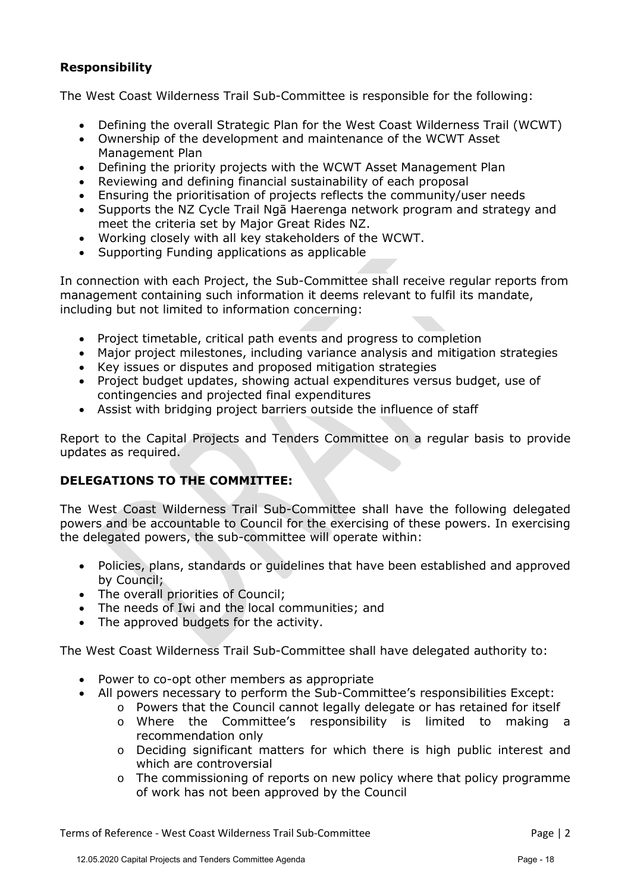#### **Responsibility**

The West Coast Wilderness Trail Sub-Committee is responsible for the following:

- Defining the overall Strategic Plan for the West Coast Wilderness Trail (WCWT)
- Ownership of the development and maintenance of the WCWT Asset Management Plan
- Defining the priority projects with the WCWT Asset Management Plan
- Reviewing and defining financial sustainability of each proposal
- Ensuring the prioritisation of projects reflects the community/user needs
- Supports the NZ Cycle Trail Ngā Haerenga network program and strategy and meet the criteria set by Major Great Rides NZ.
- Working closely with all key stakeholders of the WCWT.
- Supporting Funding applications as applicable

In connection with each Project, the Sub-Committee shall receive regular reports from management containing such information it deems relevant to fulfil its mandate, including but not limited to information concerning:

- Project timetable, critical path events and progress to completion
- Major project milestones, including variance analysis and mitigation strategies
- Key issues or disputes and proposed mitigation strategies
- Project budget updates, showing actual expenditures versus budget, use of contingencies and projected final expenditures
- Assist with bridging project barriers outside the influence of staff

Report to the Capital Projects and Tenders Committee on a regular basis to provide updates as required.

#### **DELEGATIONS TO THE COMMITTEE:**

The West Coast Wilderness Trail Sub-Committee shall have the following delegated powers and be accountable to Council for the exercising of these powers. In exercising the delegated powers, the sub-committee will operate within:

- Policies, plans, standards or guidelines that have been established and approved by Council;
- The overall priorities of Council:
- The needs of Iwi and the local communities; and
- The approved budgets for the activity.

The West Coast Wilderness Trail Sub-Committee shall have delegated authority to:

- Power to co-opt other members as appropriate
- All powers necessary to perform the Sub-Committee's responsibilities Except:
	- o Powers that the Council cannot legally delegate or has retained for itself
	- o Where the Committee's responsibility is limited to making a recommendation only
	- o Deciding significant matters for which there is high public interest and which are controversial
	- $\circ$  The commissioning of reports on new policy where that policy programme of work has not been approved by the Council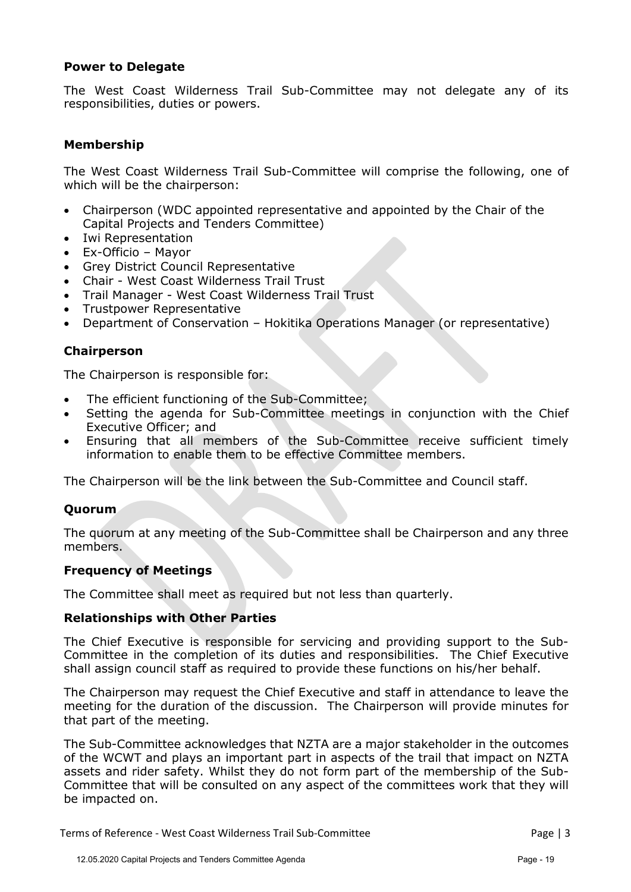#### **Power to Delegate**

The West Coast Wilderness Trail Sub-Committee may not delegate any of its responsibilities, duties or powers.

#### **Membership**

The West Coast Wilderness Trail Sub-Committee will comprise the following, one of which will be the chairperson:

- Chairperson (WDC appointed representative and appointed by the Chair of the Capital Projects and Tenders Committee)
- Iwi Representation
- Ex-Officio Mayor
- Grey District Council Representative
- Chair West Coast Wilderness Trail Trust
- Trail Manager West Coast Wilderness Trail Trust
- Trustpower Representative
- Department of Conservation Hokitika Operations Manager (or representative)

#### **Chairperson**

The Chairperson is responsible for:

- The efficient functioning of the Sub-Committee;
- Setting the agenda for Sub-Committee meetings in conjunction with the Chief Executive Officer; and
- Ensuring that all members of the Sub-Committee receive sufficient timely information to enable them to be effective Committee members.

The Chairperson will be the link between the Sub-Committee and Council staff.

#### **Quorum**

The quorum at any meeting of the Sub-Committee shall be Chairperson and any three members.

#### **Frequency of Meetings**

The Committee shall meet as required but not less than quarterly.

#### **Relationships with Other Parties**

The Chief Executive is responsible for servicing and providing support to the Sub-Committee in the completion of its duties and responsibilities. The Chief Executive shall assign council staff as required to provide these functions on his/her behalf.

The Chairperson may request the Chief Executive and staff in attendance to leave the meeting for the duration of the discussion. The Chairperson will provide minutes for that part of the meeting.

The Sub-Committee acknowledges that NZTA are a major stakeholder in the outcomes of the WCWT and plays an important part in aspects of the trail that impact on NZTA assets and rider safety. Whilst they do not form part of the membership of the Sub-Committee that will be consulted on any aspect of the committees work that they will be impacted on.